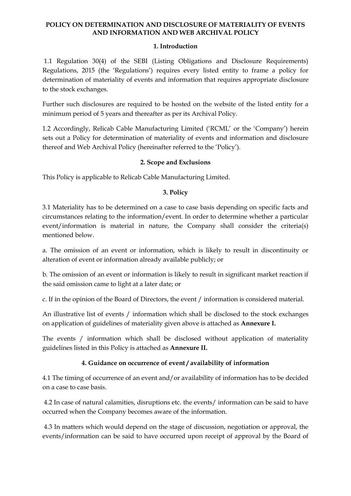## **1. Introduction**

1.1 Regulation 30(4) of the SEBI (Listing Obligations and Disclosure Requirements) Regulations, 2015 (the "Regulations") requires every listed entity to frame a policy for determination of materiality of events and information that requires appropriate disclosure to the stock exchanges.

Further such disclosures are required to be hosted on the website of the listed entity for a minimum period of 5 years and thereafter as per its Archival Policy.

1.2 Accordingly, Relicab Cable Manufacturing Limited ("RCML" or the "Company") herein sets out a Policy for determination of materiality of events and information and disclosure thereof and Web Archival Policy (hereinafter referred to the "Policy").

## **2. Scope and Exclusions**

This Policy is applicable to Relicab Cable Manufacturing Limited.

## **3. Policy**

3.1 Materiality has to be determined on a case to case basis depending on specific facts and circumstances relating to the information/event. In order to determine whether a particular event/information is material in nature, the Company shall consider the criteria(s) mentioned below.

a. The omission of an event or information, which is likely to result in discontinuity or alteration of event or information already available publicly; or

b. The omission of an event or information is likely to result in significant market reaction if the said omission came to light at a later date; or

c. If in the opinion of the Board of Directors, the event / information is considered material.

An illustrative list of events / information which shall be disclosed to the stock exchanges on application of guidelines of materiality given above is attached as **Annexure I.** 

The events / information which shall be disclosed without application of materiality guidelines listed in this Policy is attached as **Annexure II.** 

# **4. Guidance on occurrence of event / availability of information**

4.1 The timing of occurrence of an event and/or availability of information has to be decided on a case to case basis.

4.2 In case of natural calamities, disruptions etc. the events/ information can be said to have occurred when the Company becomes aware of the information.

4.3 In matters which would depend on the stage of discussion, negotiation or approval, the events/information can be said to have occurred upon receipt of approval by the Board of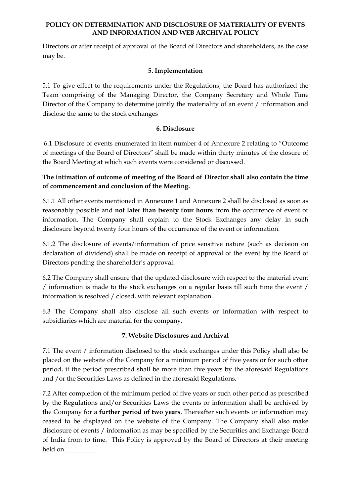Directors or after receipt of approval of the Board of Directors and shareholders, as the case may be.

# **5. Implementation**

5.1 To give effect to the requirements under the Regulations, the Board has authorized the Team comprising of the Managing Director, the Company Secretary and Whole Time Director of the Company to determine jointly the materiality of an event / information and disclose the same to the stock exchanges

## **6. Disclosure**

6.1 Disclosure of events enumerated in item number 4 of Annexure 2 relating to "Outcome of meetings of the Board of Directors" shall be made within thirty minutes of the closure of the Board Meeting at which such events were considered or discussed.

# **The intimation of outcome of meeting of the Board of Director shall also contain the time of commencement and conclusion of the Meeting.**

6.1.1 All other events mentioned in Annexure 1 and Annexure 2 shall be disclosed as soon as reasonably possible and **not later than twenty four hours** from the occurrence of event or information. The Company shall explain to the Stock Exchanges any delay in such disclosure beyond twenty four hours of the occurrence of the event or information.

6.1.2 The disclosure of events/information of price sensitive nature (such as decision on declaration of dividend) shall be made on receipt of approval of the event by the Board of Directors pending the shareholder"s approval.

6.2 The Company shall ensure that the updated disclosure with respect to the material event / information is made to the stock exchanges on a regular basis till such time the event / information is resolved / closed, with relevant explanation.

6.3 The Company shall also disclose all such events or information with respect to subsidiaries which are material for the company.

# **7. Website Disclosures and Archival**

7.1 The event / information disclosed to the stock exchanges under this Policy shall also be placed on the website of the Company for a minimum period of five years or for such other period, if the period prescribed shall be more than five years by the aforesaid Regulations and /or the Securities Laws as defined in the aforesaid Regulations.

7.2 After completion of the minimum period of five years or such other period as prescribed by the Regulations and/or Securities Laws the events or information shall be archived by the Company for a **further period of two years**. Thereafter such events or information may ceased to be displayed on the website of the Company. The Company shall also make disclosure of events / information as may be specified by the Securities and Exchange Board of India from to time. This Policy is approved by the Board of Directors at their meeting held on \_\_\_\_\_\_\_\_\_\_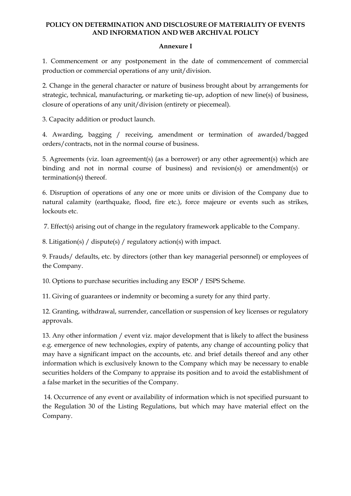### **Annexure I**

1. Commencement or any postponement in the date of commencement of commercial production or commercial operations of any unit/division.

2. Change in the general character or nature of business brought about by arrangements for strategic, technical, manufacturing, or marketing tie-up, adoption of new line(s) of business, closure of operations of any unit/division (entirety or piecemeal).

3. Capacity addition or product launch.

4. Awarding, bagging / receiving, amendment or termination of awarded/bagged orders/contracts, not in the normal course of business.

5. Agreements (viz. loan agreement(s) (as a borrower) or any other agreement(s) which are binding and not in normal course of business) and revision(s) or amendment(s) or termination(s) thereof.

6. Disruption of operations of any one or more units or division of the Company due to natural calamity (earthquake, flood, fire etc.), force majeure or events such as strikes, lockouts etc.

7. Effect(s) arising out of change in the regulatory framework applicable to the Company.

8. Litigation(s) / dispute(s) / regulatory action(s) with impact.

9. Frauds/ defaults, etc. by directors (other than key managerial personnel) or employees of the Company.

10. Options to purchase securities including any ESOP / ESPS Scheme.

11. Giving of guarantees or indemnity or becoming a surety for any third party.

12. Granting, withdrawal, surrender, cancellation or suspension of key licenses or regulatory approvals.

13. Any other information / event viz. major development that is likely to affect the business e.g. emergence of new technologies, expiry of patents, any change of accounting policy that may have a significant impact on the accounts, etc. and brief details thereof and any other information which is exclusively known to the Company which may be necessary to enable securities holders of the Company to appraise its position and to avoid the establishment of a false market in the securities of the Company.

14. Occurrence of any event or availability of information which is not specified pursuant to the Regulation 30 of the Listing Regulations, but which may have material effect on the Company.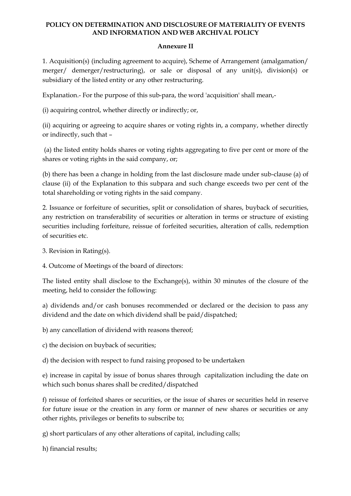### **Annexure II**

1. Acquisition(s) (including agreement to acquire), Scheme of Arrangement (amalgamation/ merger/ demerger/restructuring), or sale or disposal of any unit(s), division(s) or subsidiary of the listed entity or any other restructuring.

Explanation.- For the purpose of this sub-para, the word 'acquisition' shall mean,-

(i) acquiring control, whether directly or indirectly; or,

(ii) acquiring or agreeing to acquire shares or voting rights in, a company, whether directly or indirectly, such that –

(a) the listed entity holds shares or voting rights aggregating to five per cent or more of the shares or voting rights in the said company, or;

(b) there has been a change in holding from the last disclosure made under sub-clause (a) of clause (ii) of the Explanation to this subpara and such change exceeds two per cent of the total shareholding or voting rights in the said company.

2. Issuance or forfeiture of securities, split or consolidation of shares, buyback of securities, any restriction on transferability of securities or alteration in terms or structure of existing securities including forfeiture, reissue of forfeited securities, alteration of calls, redemption of securities etc.

3. Revision in Rating(s).

4. Outcome of Meetings of the board of directors:

The listed entity shall disclose to the Exchange(s), within 30 minutes of the closure of the meeting, held to consider the following:

a) dividends and/or cash bonuses recommended or declared or the decision to pass any dividend and the date on which dividend shall be paid/dispatched;

b) any cancellation of dividend with reasons thereof;

c) the decision on buyback of securities;

d) the decision with respect to fund raising proposed to be undertaken

e) increase in capital by issue of bonus shares through capitalization including the date on which such bonus shares shall be credited/dispatched

f) reissue of forfeited shares or securities, or the issue of shares or securities held in reserve for future issue or the creation in any form or manner of new shares or securities or any other rights, privileges or benefits to subscribe to;

g) short particulars of any other alterations of capital, including calls;

h) financial results;